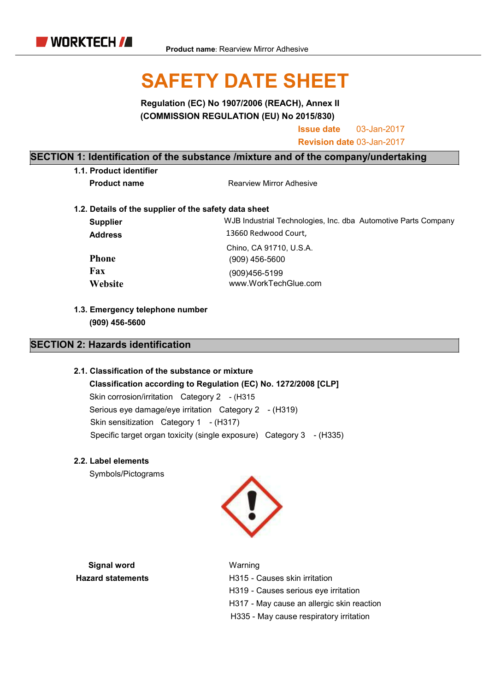

# SAFETY DATE SHEET

Regulation (EC) No 1907/2006 (REACH), Annex II (COMMISSION REGULATION (EU) No 2015/830)

Issue date 03-Jan-2017

Revision date 03-Jan-2017

#### SECTION 1: Identification of the substance /mixture and of the company/undertaking

1.1. Product identifier

**Product name** Rearview Mirror Adhesive

1.2. Details of the supplier of the safety data sheet

| <b>Supplier</b> | WJB Industrial Technologies, Inc. dba Automotive Parts Company |
|-----------------|----------------------------------------------------------------|
| <b>Address</b>  | 13660 Redwood Court,                                           |
|                 | Chino, CA 91710, U.S.A.                                        |
| <b>Phone</b>    | (909) 456-5600                                                 |
| Fax             | (909)456-5199                                                  |
| Website         | www.WorkTechGlue.com                                           |
|                 |                                                                |

1.3. Emergency telephone number (909) 456-5600

#### SECTION 2: Hazards identification

#### 2.1. Classification of the substance or mixture

Classification according to Regulation (EC) No. 1272/2008 [CLP] Skin corrosion/irritation Category 2 - (H315 Serious eye damage/eye irritation Category 2 - (H319) Skin sensitization Category 1 - (H317) Specific target organ toxicity (single exposure) Category 3 - (H335)

2.2. Label elements

Symbols/Pictograms



Signal word Warning

Hazard statements **H315** - Causes skin irritation H319 - Causes serious eye irritation H317 - May cause an allergic skin reaction H335 - May cause respiratory irritation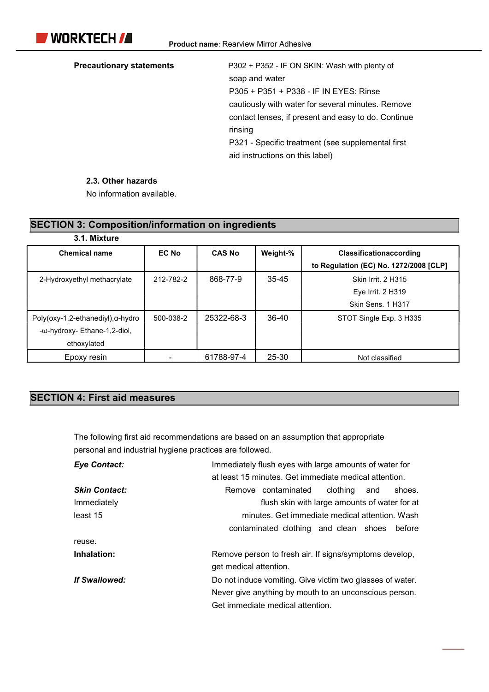Precautionary statements P302 + P352 - IF ON SKIN: Wash with plenty of soap and water P305 + P351 + P338 - IF IN EYES: Rinse cautiously with water for several minutes. Remove contact lenses, if present and easy to do. Continue rinsing P321 - Specific treatment (see supplemental first aid instructions on this label)

#### 2.3. Other hazards

No information available.

SECTION 3: Composition/information on ingredients

| <u>SECTION 3. COMPOSITION/INTOHIALION ON INGREGIENTS</u> |              |               |           |                                        |
|----------------------------------------------------------|--------------|---------------|-----------|----------------------------------------|
| 3.1. Mixture                                             |              |               |           |                                        |
| <b>Chemical name</b>                                     | <b>EC No</b> | <b>CAS No</b> | Weight-%  | <b>Classificationaccording</b>         |
|                                                          |              |               |           | to Regulation (EC) No. 1272/2008 [CLP] |
| 2-Hydroxyethyl methacrylate                              | 212-782-2    | 868-77-9      | $35 - 45$ | Skin Irrit. 2 H315                     |
|                                                          |              |               |           | Eye Irrit. 2 H319                      |
|                                                          |              |               |           | Skin Sens. 1 H317                      |
| $Poly($ oxy-1,2-ethanediyl $)$ , $\alpha$ -hydro         | 500-038-2    | 25322-68-3    | 36-40     | STOT Single Exp. 3 H335                |
| -ω-hydroxy- Ethane-1,2-diol,                             |              |               |           |                                        |
| ethoxylated                                              |              |               |           |                                        |
| Epoxy resin                                              |              | 61788-97-4    | 25-30     | Not classified                         |

## SECTION 4: First aid measures

The following first aid recommendations are based on an assumption that appropriate personal and industrial hygiene practices are followed.

| <b>Eye Contact:</b>  | Immediately flush eyes with large amounts of water for    |
|----------------------|-----------------------------------------------------------|
|                      | at least 15 minutes. Get immediate medical attention.     |
| <b>Skin Contact:</b> | Remove contaminated<br>clothing<br>and<br>shoes.          |
| Immediately          | flush skin with large amounts of water for at             |
| least 15             | minutes. Get immediate medical attention. Wash            |
|                      | contaminated clothing and clean shoes<br>before           |
| reuse.               |                                                           |
| Inhalation:          | Remove person to fresh air. If signs/symptoms develop,    |
|                      | get medical attention.                                    |
| <b>If Swallowed:</b> | Do not induce vomiting. Give victim two glasses of water. |
|                      | Never give anything by mouth to an unconscious person.    |
|                      | Get immediate medical attention.                          |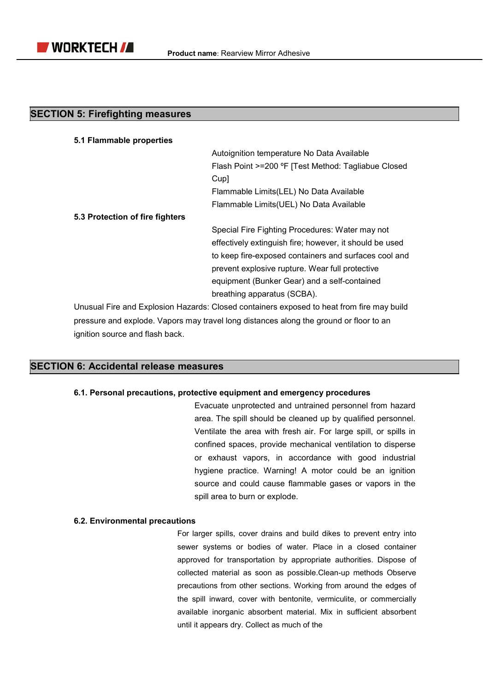

#### SECTION 5: Firefighting measures

| 5.1 Flammable properties        |                                                                                           |
|---------------------------------|-------------------------------------------------------------------------------------------|
|                                 | Autoignition temperature No Data Available                                                |
|                                 | Flash Point >=200 °F [Test Method: Tagliabue Closed                                       |
|                                 | Cup]                                                                                      |
|                                 | Flammable Limits(LEL) No Data Available                                                   |
|                                 | Flammable Limits(UEL) No Data Available                                                   |
| 5.3 Protection of fire fighters |                                                                                           |
|                                 | Special Fire Fighting Procedures: Water may not                                           |
|                                 | effectively extinguish fire; however, it should be used                                   |
|                                 | to keep fire-exposed containers and surfaces cool and                                     |
|                                 | prevent explosive rupture. Wear full protective                                           |
|                                 | equipment (Bunker Gear) and a self-contained                                              |
|                                 | breathing apparatus (SCBA).                                                               |
|                                 | Unusual Fire and Explosion Hazards: Closed containers exposed to heat from fire may build |

pressure and explode. Vapors may travel long distances along the ground or floor to an ignition source and flash back.

#### SECTION 6: Accidental release measures

#### 6.1. Personal precautions, protective equipment and emergency procedures

Evacuate unprotected and untrained personnel from hazard area. The spill should be cleaned up by qualified personnel. Ventilate the area with fresh air. For large spill, or spills in confined spaces, provide mechanical ventilation to disperse or exhaust vapors, in accordance with good industrial hygiene practice. Warning! A motor could be an ignition source and could cause flammable gases or vapors in the spill area to burn or explode.

#### 6.2. Environmental precautions

For larger spills, cover drains and build dikes to prevent entry into sewer systems or bodies of water. Place in a closed container approved for transportation by appropriate authorities. Dispose of collected material as soon as possible.Clean-up methods Observe precautions from other sections. Working from around the edges of the spill inward, cover with bentonite, vermiculite, or commercially available inorganic absorbent material. Mix in sufficient absorbent until it appears dry. Collect as much of the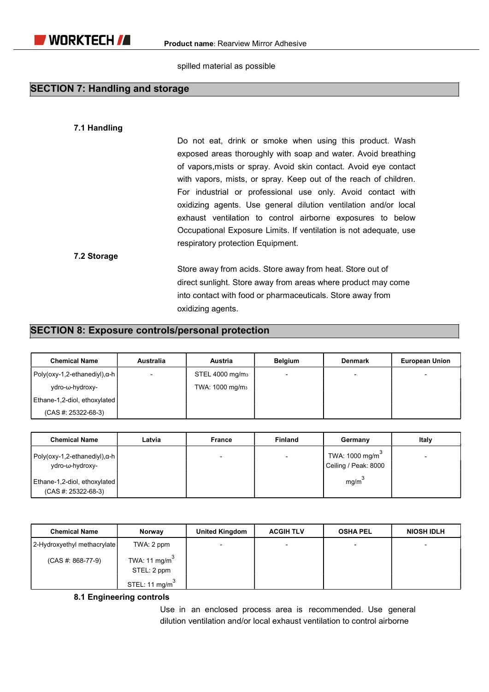spilled material as possible

#### SECTION 7: Handling and storage

#### 7.1 Handling

Do not eat, drink or smoke when using this product. Wash exposed areas thoroughly with soap and water. Avoid breathing of vapors,mists or spray. Avoid skin contact. Avoid eye contact with vapors, mists, or spray. Keep out of the reach of children. For industrial or professional use only. Avoid contact with oxidizing agents. Use general dilution ventilation and/or local exhaust ventilation to control airborne exposures to below Occupational Exposure Limits. If ventilation is not adequate, use respiratory protection Equipment.

#### 7.2 Storage

Store away from acids. Store away from heat. Store out of direct sunlight. Store away from areas where product may come into contact with food or pharmaceuticals. Store away from oxidizing agents.

#### SECTION 8: Exposure controls/personal protection

| <b>Chemical Name</b>                 | <b>Australia</b> | <b>Austria</b>              | <b>Belgium</b> | <b>Denmark</b>           | <b>European Union</b> |
|--------------------------------------|------------------|-----------------------------|----------------|--------------------------|-----------------------|
| $Poly(oxy-1, 2-ethanedyl), \alpha-h$ |                  | STEL 4000 mg/m <sub>3</sub> |                | $\overline{\phantom{0}}$ |                       |
| ydro-ω-hydroxy-                      |                  | TWA: 1000 mg/m <sub>3</sub> |                |                          |                       |
| Ethane-1,2-diol, ethoxylated         |                  |                             |                |                          |                       |
| $(CAS #: 25322-68-3)$                |                  |                             |                |                          |                       |

| <b>Chemical Name</b>                                     | Latvia | France | <b>Finland</b> | Germany                                | Italy |
|----------------------------------------------------------|--------|--------|----------------|----------------------------------------|-------|
| Poly(oxy-1,2-ethanediyl), $\alpha$ -h<br>ydro-ω-hydroxy- |        |        |                | TWA: 1000 mg/m<br>Ceiling / Peak: 8000 |       |
| Ethane-1,2-diol, ethoxylated<br>$(CAS #: 25322-68-3)$    |        |        |                | mg/m                                   |       |

| <b>Chemical Name</b>        | Norway                         | <b>United Kingdom</b>    | <b>ACGIH TLV</b> | <b>OSHA PEL</b>          | <b>NIOSH IDLH</b> |
|-----------------------------|--------------------------------|--------------------------|------------------|--------------------------|-------------------|
| 2-Hydroxyethyl methacrylate | TWA: 2 ppm                     | $\overline{\phantom{a}}$ |                  | $\overline{\phantom{a}}$ |                   |
| $(CAS #: 868-77-9)$         | TWA: 11 $mg/m3$<br>STEL: 2 ppm |                          |                  |                          |                   |
|                             | STEL: 11 mg/m $3$              |                          |                  |                          |                   |

#### 8.1 Engineering controls

Use in an enclosed process area is recommended. Use general dilution ventilation and/or local exhaust ventilation to control airborne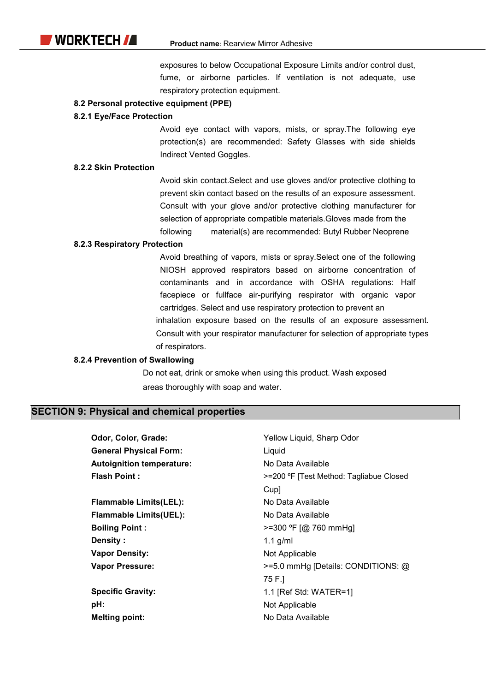exposures to below Occupational Exposure Limits and/or control dust, fume, or airborne particles. If ventilation is not adequate, use respiratory protection equipment.

#### 8.2 Personal protective equipment (PPE)

#### 8.2.1 Eye/Face Protection

Avoid eye contact with vapors, mists, or spray.The following eye protection(s) are recommended: Safety Glasses with side shields Indirect Vented Goggles.

#### 8.2.2 Skin Protection

Avoid skin contact.Select and use gloves and/or protective clothing to prevent skin contact based on the results of an exposure assessment. Consult with your glove and/or protective clothing manufacturer for selection of appropriate compatible materials.Gloves made from the following material(s) are recommended: Butyl Rubber Neoprene

#### 8.2.3 Respiratory Protection

Avoid breathing of vapors, mists or spray.Select one of the following NIOSH approved respirators based on airborne concentration of contaminants and in accordance with OSHA regulations: Half facepiece or fullface air-purifying respirator with organic vapor cartridges. Select and use respiratory protection to prevent an inhalation exposure based on the results of an exposure assessment. Consult with your respirator manufacturer for selection of appropriate types of respirators.

#### 8.2.4 Prevention of Swallowing

Do not eat, drink or smoke when using this product. Wash exposed areas thoroughly with soap and water.

#### SECTION 9: Physical and chemical properties

Odor, Color, Grade: General Physical Form: Autoignition temperature: Flash Point : Flammable Limits(LEL): Flammable Limits(UEL): Boiling Point : Density : Vapor Density: Vapor Pressure: Specific Gravity: pH: Melting point: Yellow Liquid, Sharp Odor **Liquid** No Data Available >=200 ºF [Test Method: Tagliabue Closed Cup] No Data Available No Data Available >=300 ºF [@ 760 mmHg] 1.1 g/ml Not Applicable >=5.0 mmHg [Details: CONDITIONS: @ 75 F.] 1.1 [Ref Std: WATER=1] Not Applicable No Data Available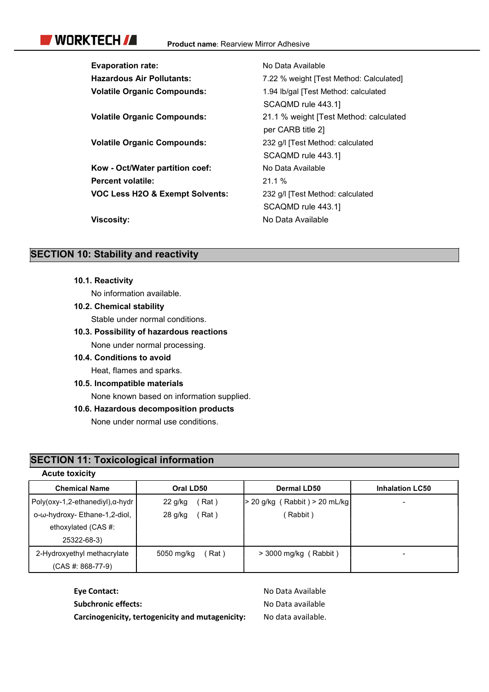# WORKTECH **/A**

| <b>Evaporation rate:</b>                   | No Data Available                       |
|--------------------------------------------|-----------------------------------------|
| <b>Hazardous Air Pollutants:</b>           | 7.22 % weight [Test Method: Calculated] |
| <b>Volatile Organic Compounds:</b>         | 1.94 lb/gal [Test Method: calculated    |
|                                            | SCAQMD rule 443.1                       |
| <b>Volatile Organic Compounds:</b>         | 21.1 % weight [Test Method: calculated  |
|                                            | per CARB title 2]                       |
| <b>Volatile Organic Compounds:</b>         | 232 g/l [Test Method: calculated        |
|                                            | SCAQMD rule 443.1                       |
| Kow - Oct/Water partition coef:            | No Data Available                       |
| <b>Percent volatile:</b>                   | 21.1%                                   |
| <b>VOC Less H2O &amp; Exempt Solvents:</b> | 232 g/l [Test Method: calculated        |
|                                            | SCAQMD rule 443.1                       |
| Viscosity:                                 | No Data Available                       |

### **SECTION 10: Stability and reactivity**

10.1. Reactivity

No information available.

10.2. Chemical stability

Stable under normal conditions.

10.3. Possibility of hazardous reactions

None under normal processing.

10.4. Conditions to avoid

Heat, flames and sparks.

#### 10.5. Incompatible materials

None known based on information supplied.

#### 10.6. Hazardous decomposition products

None under normal use conditions.

## SECTION 11: Toxicological information

| <b>Acute toxicity</b>           |                    |                               |                          |
|---------------------------------|--------------------|-------------------------------|--------------------------|
| <b>Chemical Name</b>            | Oral LD50          | Dermal LD50                   | <b>Inhalation LC50</b>   |
| Poly(oxy-1,2-ethanediyl),α-hydr | Rat )<br>22 g/kg   | > 20 g/kg (Rabbit) > 20 mL/kg | $\overline{\phantom{a}}$ |
| ο-ω-hydroxy- Ethane-1,2-diol,   | Rat )<br>28 g/kg   | (Rabbit)                      |                          |
| ethoxylated (CAS #:             |                    |                               |                          |
| 25322-68-3)                     |                    |                               |                          |
| 2-Hydroxyethyl methacrylate     | Rat)<br>5050 mg/kg | $>$ 3000 mg/kg (Rabbit)       | $\blacksquare$           |
| $(CAS #: 868-77-9)$             |                    |                               |                          |

| <b>Eve Contact:</b>                              | No Data Available  |
|--------------------------------------------------|--------------------|
| Subchronic effects:                              | No Data available  |
| Carcinogenicity, tertogenicity and mutagenicity: | No data available. |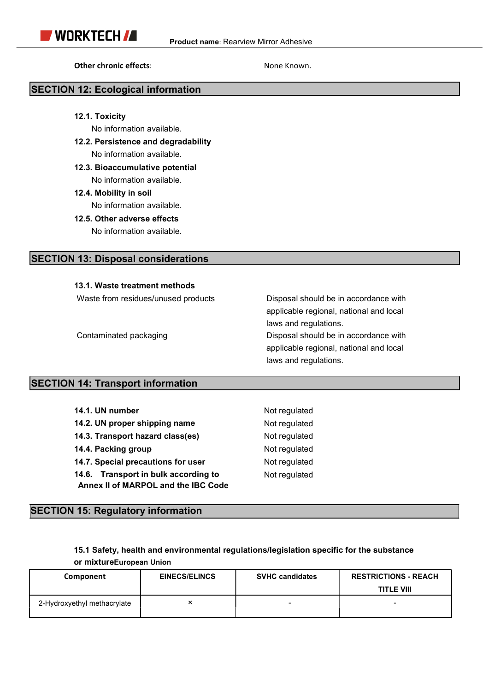Other chronic effects: None Known.

#### SECTION 12: Ecological information

12.1. Toxicity

No information available.

- 12.2. Persistence and degradability No information available.
- 12.3. Bioaccumulative potential No information available.
- 12.4. Mobility in soil

No information available.

12.5. Other adverse effects

No information available.

#### SECTION 13: Disposal considerations

#### 13.1. Waste treatment methods

Waste from residues/unused products Disposal should be in accordance with

 applicable regional, national and local laws and regulations. Contaminated packaging **Disposal should be in accordance with** 

 applicable regional, national and local laws and regulations.

#### SECTION 14: Transport information

| 14.1. UN number                                                             | Not regulated |
|-----------------------------------------------------------------------------|---------------|
| 14.2. UN proper shipping name                                               | Not regulated |
| 14.3. Transport hazard class(es)                                            | Not regulated |
| 14.4. Packing group                                                         | Not regulated |
| 14.7. Special precautions for user                                          | Not regulated |
| 14.6. Transport in bulk according to<br>Annex II of MARPOL and the IBC Code | Not regulated |

#### SECTION 15: Regulatory information

15.1 Safety, health and environmental regulations/legislation specific for the substance or mixtureEuropean Union

| Component                   | <b>EINECS/ELINCS</b> | <b>SVHC candidates</b> | <b>RESTRICTIONS - REACH</b> |
|-----------------------------|----------------------|------------------------|-----------------------------|
|                             |                      |                        | <b>TITLE VIII</b>           |
| 2-Hydroxyethyl methacrylate | ∼                    | -                      |                             |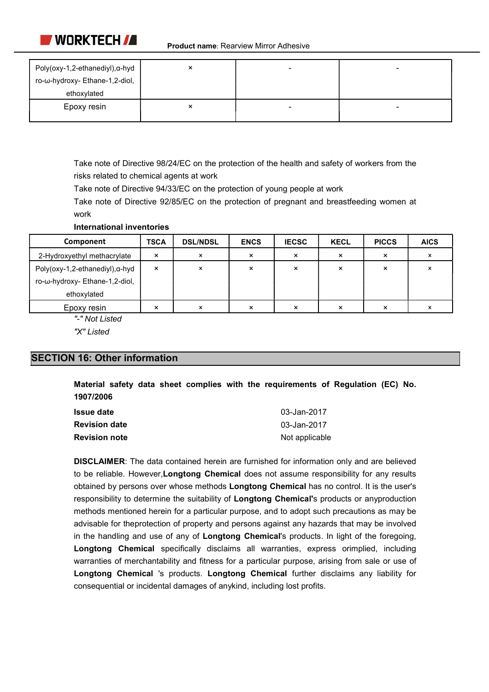

| Poly(oxy-1,2-ethanediyl), α-hyd | × |  |
|---------------------------------|---|--|
| ro-ω-hydroxy- Ethane-1,2-diol,  |   |  |
| ethoxylated                     |   |  |
| Epoxy resin                     | × |  |

Take note of Directive 98/24/EC on the protection of the health and safety of workers from the risks related to chemical agents at work

Take note of Directive 94/33/EC on the protection of young people at work

Take note of Directive 92/85/EC on the protection of pregnant and breastfeeding women at work

#### International inventories

| Component                       | <b>TSCA</b>               | <b>DSL/NDSL</b> | <b>ENCS</b> | <b>IECSC</b>      | <b>KECL</b> | <b>PICCS</b>      | <b>AICS</b> |
|---------------------------------|---------------------------|-----------------|-------------|-------------------|-------------|-------------------|-------------|
| 2-Hydroxyethyl methacrylate     | ×                         |                 | ×           | ×                 |             | $\checkmark$      |             |
| Poly(oxy-1,2-ethanediyl), α-hyd | $\boldsymbol{\mathsf{x}}$ | ×               | ×           | $\checkmark$<br>^ | ㅅ           | ⌒                 |             |
| ro-ω-hydroxy- Ethane-1,2-diol,  |                           |                 |             |                   |             |                   |             |
| ethoxylated                     |                           |                 |             |                   |             |                   |             |
| Epoxy resin                     | ×                         | x               | ×           | $\times$          | ×           | $\checkmark$<br>ᄉ |             |

"-" Not Listed

"X" Listed

#### SECTION 16: Other information

Material safety data sheet complies with the requirements of Regulation (EC) No. 1907/2006

| Issue date           | 03-Jan-2017    |
|----------------------|----------------|
| <b>Revision date</b> | 03-Jan-2017    |
| <b>Revision note</b> | Not applicable |

DISCLAIMER: The data contained herein are furnished for information only and are believed to be reliable. However, Longtong Chemical does not assume responsibility for any results obtained by persons over whose methods Longtong Chemical has no control. It is the user's responsibility to determine the suitability of Longtong Chemical's products or anyproduction methods mentioned herein for a particular purpose, and to adopt such precautions as may be advisable for theprotection of property and persons against any hazards that may be involved in the handling and use of any of Longtong Chemical's products. In light of the foregoing, Longtong Chemical specifically disclaims all warranties, express orimplied, including warranties of merchantability and fitness for a particular purpose, arising from sale or use of Longtong Chemical 's products. Longtong Chemical further disclaims any liability for consequential or incidental damages of anykind, including lost profits.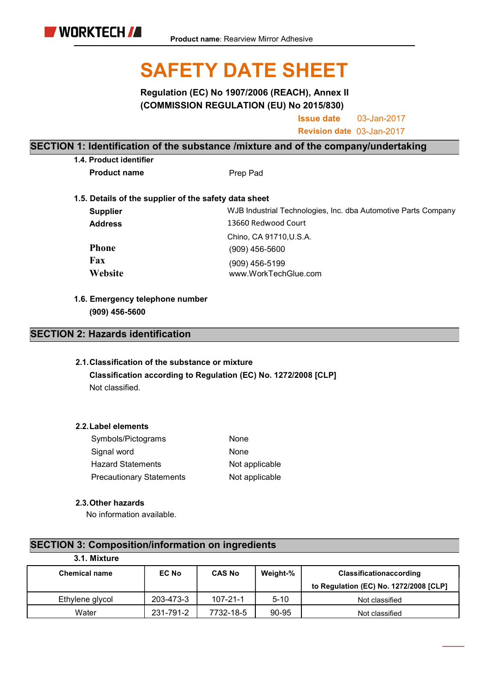# SAFETY DATE SHEET

Regulation (EC) No 1907/2006 (REACH), Annex II (COMMISSION REGULATION (EU) No 2015/830)

> Issue date 03-Jan-2017

> Revision date 03-Jan-2017

#### SECTION 1: Identification of the substance /mixture and of the company/undertaking

1.4. Product identifier

Product name Prep Pad

1.5. Details of the supplier of the safety data sheet Supplier Address Phone Fax **Website** Chino, CA 91710,U.S.A. (909) 456-5600 (909) 456-5199 www.WorkTechGlue.com 13660 Redwood Court WJB Industrial Technologies, Inc. dba Automotive Parts Company

1.6. Emergency telephone number (909) 456-5600

#### SECTION 2: Hazards identification

#### 2.1.Classification of the substance or mixture

Classification according to Regulation (EC) No. 1272/2008 [CLP] Not classified.

#### 2.2.Label elements

| Symbols/Pictograms              | None           |
|---------------------------------|----------------|
| Signal word                     | None           |
| <b>Hazard Statements</b>        | Not applicable |
| <b>Precautionary Statements</b> | Not applicable |

#### 2.3.Other hazards

No information available.

### SECTION 3: Composition/information on ingredients

| 3.1. Mixture         |              |                |          |                                        |
|----------------------|--------------|----------------|----------|----------------------------------------|
| <b>Chemical name</b> | <b>EC No</b> | <b>CAS No</b>  | Weight-% | <b>Classificationaccording</b>         |
|                      |              |                |          | to Regulation (EC) No. 1272/2008 [CLP] |
| Ethylene glycol      | 203-473-3    | $107 - 21 - 1$ | $5 - 10$ | Not classified                         |
| Water                | 231-791-2    | 7732-18-5      | 90-95    | Not classified                         |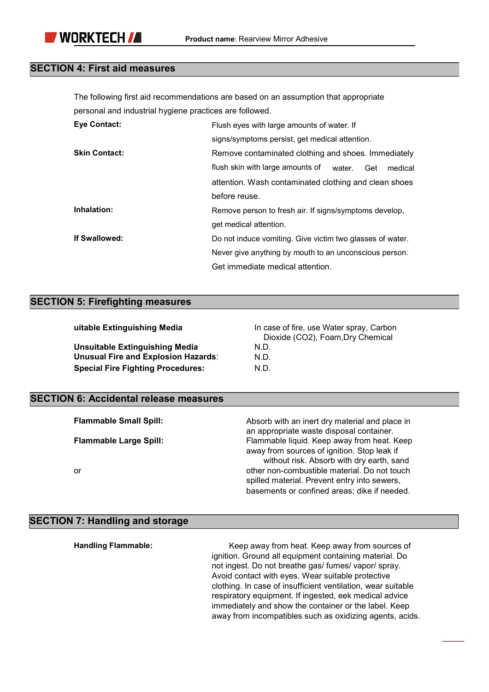#### SECTION 4: First aid measures

The following first aid recommendations are based on an assumption that appropriate personal and industrial hygiene practices are followed.

| <b>Eye Contact:</b>  | Flush eyes with large amounts of water. If                   |  |  |  |  |
|----------------------|--------------------------------------------------------------|--|--|--|--|
|                      | signs/symptoms persist, get medical attention.               |  |  |  |  |
| <b>Skin Contact:</b> | Remove contaminated clothing and shoes. Immediately          |  |  |  |  |
|                      | flush skin with large amounts of<br>water.<br>medical<br>Get |  |  |  |  |
|                      | attention. Wash contaminated clothing and clean shoes        |  |  |  |  |
|                      | before reuse.                                                |  |  |  |  |
| Inhalation:          | Remove person to fresh air. If signs/symptoms develop,       |  |  |  |  |
|                      | get medical attention.                                       |  |  |  |  |
| If Swallowed:        | Do not induce vomiting. Give victim two glasses of water.    |  |  |  |  |
|                      | Never give anything by mouth to an unconscious person.       |  |  |  |  |
|                      | Get immediate medical attention.                             |  |  |  |  |

#### SECTION 5: Firefighting measures

Unsuitable Extinguishing Media Unusual Fire and Explosion Hazards: N.D. Special Fire Fighting Procedures: N.D.

uitable Extinguishing Media **In case of fire, use Water spray, Carbon** Dioxide (CO2), Foam,Dry Chemical N.D.

#### SECTION 6: Accidental release measures

| <b>Flammable Small Spill:</b> | Absorb with an inert dry material and place in |
|-------------------------------|------------------------------------------------|
|                               | an appropriate waste disposal container.       |
| <b>Flammable Large Spill:</b> | Flammable liquid. Keep away from heat. Keep    |
|                               | away from sources of ignition. Stop leak if    |
|                               | without risk. Absorb with dry earth, sand      |
| or                            | other non-combustible material. Do not touch   |
|                               | spilled material. Prevent entry into sewers,   |
|                               | basements or confined areas; dike if needed.   |
|                               |                                                |

### SECTION 7: Handling and storage

| <b>Handling Flammable:</b> | Keep away from heat. Keep away from sources of               |
|----------------------------|--------------------------------------------------------------|
|                            | ignition. Ground all equipment containing material. Do       |
|                            | not ingest. Do not breathe gas/ fumes/ vapor/ spray.         |
|                            | Avoid contact with eyes. Wear suitable protective            |
|                            | clothing. In case of insufficient ventilation, wear suitable |
|                            | respiratory equipment. If ingested, eek medical advice       |
|                            | immediately and show the container or the label. Keep        |
|                            | away from incompatibles such as oxidizing agents, acids.     |
|                            |                                                              |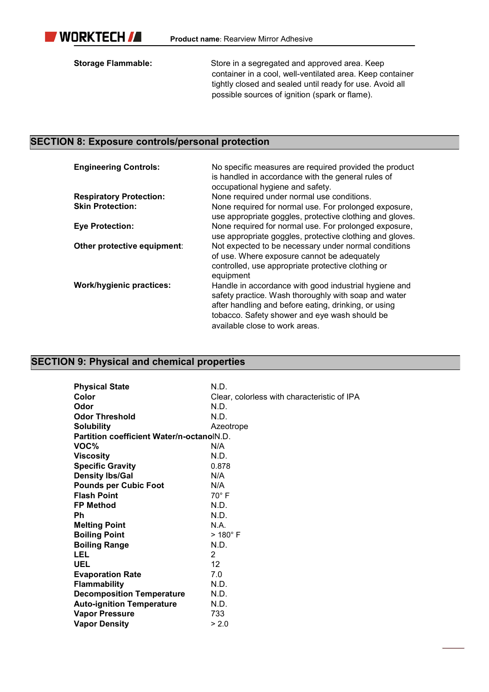

Storage Flammable: Store in a segregated and approved area. Keep container in a cool, well-ventilated area. Keep container tightly closed and sealed until ready for use. Avoid all possible sources of ignition (spark or flame).

#### SECTION 8: Exposure controls/personal protection

| <b>Engineering Controls:</b>    | No specific measures are required provided the product<br>is handled in accordance with the general rules of<br>occupational hygiene and safety.                                                                                                         |
|---------------------------------|----------------------------------------------------------------------------------------------------------------------------------------------------------------------------------------------------------------------------------------------------------|
| <b>Respiratory Protection:</b>  | None required under normal use conditions.                                                                                                                                                                                                               |
| <b>Skin Protection:</b>         | None required for normal use. For prolonged exposure,<br>use appropriate goggles, protective clothing and gloves.                                                                                                                                        |
| <b>Eye Protection:</b>          | None required for normal use. For prolonged exposure,<br>use appropriate goggles, protective clothing and gloves.                                                                                                                                        |
| Other protective equipment:     | Not expected to be necessary under normal conditions<br>of use. Where exposure cannot be adequately<br>controlled, use appropriate protective clothing or<br>equipment                                                                                   |
| <b>Work/hygienic practices:</b> | Handle in accordance with good industrial hygiene and<br>safety practice. Wash thoroughly with soap and water<br>after handling and before eating, drinking, or using<br>tobacco. Safety shower and eye wash should be<br>available close to work areas. |

# SECTION 9: Physical and chemical properties

| <b>Physical State</b>                     | N.D.                                        |
|-------------------------------------------|---------------------------------------------|
| Color                                     | Clear, colorless with characteristic of IPA |
| Odor                                      | N.D.                                        |
| <b>Odor Threshold</b>                     | N.D.                                        |
| <b>Solubility</b>                         | Azeotrope                                   |
| Partition coefficient Water/n-octanolN.D. |                                             |
| VOC%                                      | N/A                                         |
| <b>Viscosity</b>                          | N.D.                                        |
| <b>Specific Gravity</b>                   | 0.878                                       |
| <b>Density Ibs/Gal</b>                    | N/A                                         |
| <b>Pounds per Cubic Foot</b>              | N/A                                         |
| <b>Flash Point</b>                        | $70^\circ$ F                                |
| <b>FP Method</b>                          | N.D.                                        |
| Ph                                        | N.D.                                        |
| <b>Melting Point</b>                      | N.A.                                        |
| <b>Boiling Point</b>                      | $>180^\circ$ F                              |
| <b>Boiling Range</b>                      | N.D.                                        |
| LEL                                       | 2                                           |
| <b>UEL</b>                                | $12 \overline{ }$                           |
| <b>Evaporation Rate</b>                   | 7.0                                         |
| <b>Flammability</b>                       | N.D.                                        |
| <b>Decomposition Temperature</b>          | N.D.                                        |
| <b>Auto-ignition Temperature</b>          | N.D.                                        |
| <b>Vapor Pressure</b>                     | 733                                         |
| <b>Vapor Density</b>                      | > 2.0                                       |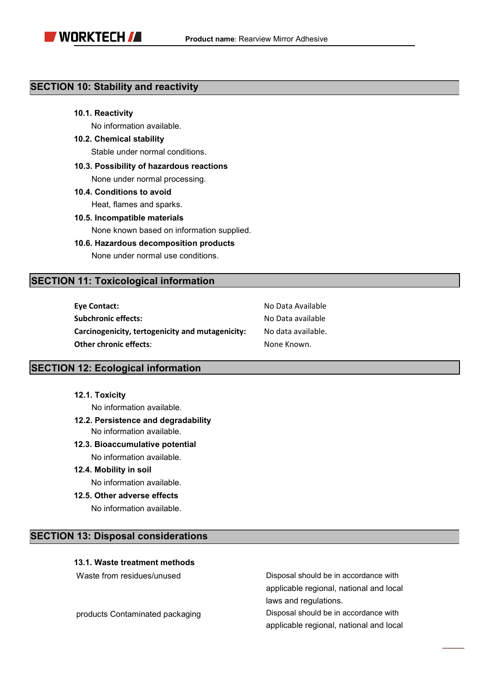

#### SECTION 10: Stability and reactivity

#### 10.1. Reactivity

No information available.

10.2. Chemical stability

Stable under normal conditions.

10.3. Possibility of hazardous reactions

None under normal processing.

10.4. Conditions to avoid

Heat, flames and sparks.

- 10.5. Incompatible materials None known based on information supplied.
- 10.6. Hazardous decomposition products None under normal use conditions.

#### SECTION 11: Toxicological information

| <b>Eve Contact:</b>                              | No Data Available  |
|--------------------------------------------------|--------------------|
| <b>Subchronic effects:</b>                       | No Data available  |
| Carcinogenicity, tertogenicity and mutagenicity: | No data available. |
| <b>Other chronic effects:</b>                    | None Known.        |

#### SECTION 12: Ecological information

12.1. Toxicity

No information available.

- 12.2. Persistence and degradability No information available.
- 12.3. Bioaccumulative potential No information available.
- 12.4. Mobility in soil

No information available.

12.5. Other adverse effects

No information available.

#### SECTION 13: Disposal considerations

#### 13.1. Waste treatment methods

Waste from residues/unused

products Contaminated packaging

Disposal should be in accordance with applicable regional, national and local laws and regulations.

Disposal should be in accordance with applicable regional, national and local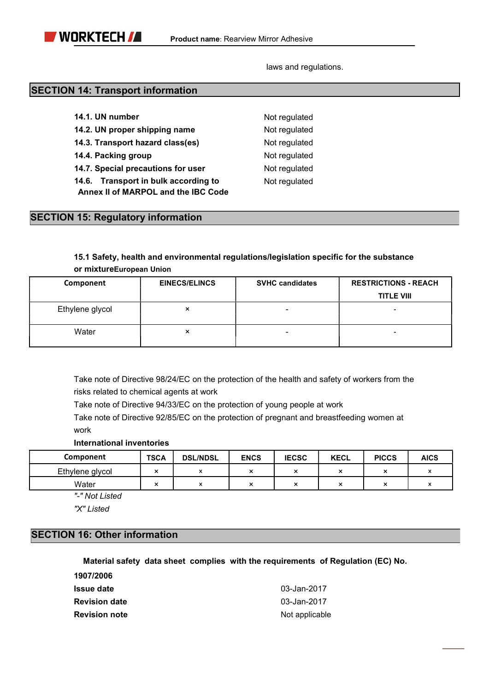laws and regulations.

#### SECTION 14: Transport information

|  | 14.1. UN number |  |
|--|-----------------|--|
|  |                 |  |

14.2. UN proper shipping name Not regulated

- 14.3. Transport hazard class(es) Mot regulated
- 14.4. Packing group Not regulated
- 14.7. Special precautions for user Not regulated

14.6. Transport in bulk according to Not regulated Annex II of MARPOL and the IBC Code

Not regulated

#### SECTION 15: Regulatory information

#### 15.1 Safety, health and environmental regulations/legislation specific for the substance or mixtureEuropean Union

| Component       | <b>EINECS/ELINCS</b> | <b>SVHC candidates</b>   | <b>RESTRICTIONS - REACH</b> |  |
|-----------------|----------------------|--------------------------|-----------------------------|--|
|                 |                      |                          | <b>TITLE VIII</b>           |  |
| Ethylene glycol | $\times$             |                          |                             |  |
| Water           | $\times$             | $\overline{\phantom{0}}$ |                             |  |

Take note of Directive 98/24/EC on the protection of the health and safety of workers from the risks related to chemical agents at work

Take note of Directive 94/33/EC on the protection of young people at work

Take note of Directive 92/85/EC on the protection of pregnant and breastfeeding women at work

#### International inventories

| Component       | <b>TSCA</b>                                      | <b>DSL/NDSL</b> | <b>ENCS</b>  | <b>IECSC</b>              | <b>KECL</b> | <b>PICCS</b>              | <b>AICS</b> |
|-----------------|--------------------------------------------------|-----------------|--------------|---------------------------|-------------|---------------------------|-------------|
| Ethylene glycol | $\ddot{\phantom{0}}$<br>$\sim$                   |                 | . .<br>灬     | <br>-                     |             | ٠.<br>-                   |             |
| Water           | $\overline{\phantom{a}}$<br>$\ddot{\phantom{1}}$ |                 | ٠.<br>$\sim$ | $\ddot{\phantom{0}}$<br>灬 | ٠.<br>灬     | $\ddot{\phantom{0}}$<br>∽ |             |

"-" Not Listed

"X" Listed

#### SECTION 16: Other information

#### Material safety data sheet complies with the requirements of Regulation (EC) No.

| 1907/2006            |                |
|----------------------|----------------|
| Issue date           | 03-Jan-2017    |
| <b>Revision date</b> | 03-Jan-2017    |
| <b>Revision note</b> | Not applicable |